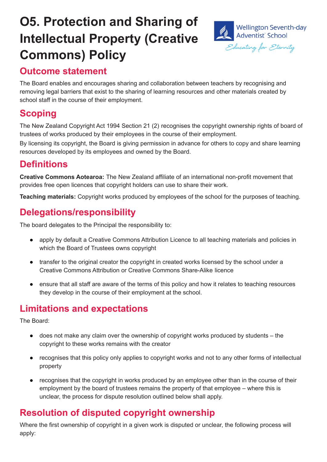# **O5. Protection and Sharing of Intellectual Property (Creative Commons) Policy**



## **Outcome statement**

The Board enables and encourages sharing and collaboration between teachers by recognising and removing legal barriers that exist to the sharing of learning resources and other materials created by school staff in the course of their employment.

# **Scoping**

The New Zealand Copyright Act 1994 Section 21 (2) recognises the copyright ownership rights of board of trustees of works produced by their employees in the course of their employment.

By licensing its copyright, the Board is giving permission in advance for others to copy and share learning resources developed by its employees and owned by the Board.

# **Definitions**

**Creative Commons Aotearoa:** The New Zealand affiliate of an international non-profit movement that provides free open licences that copyright holders can use to share their work.

**Teaching materials:** Copyright works produced by employees of the school for the purposes of teaching.

# **Delegations/responsibility**

The board delegates to the Principal the responsibility to:

- apply by default a Creative Commons Attribution Licence to all teaching materials and policies in which the Board of Trustees owns copyright
- transfer to the original creator the copyright in created works licensed by the school under a Creative Commons Attribution or Creative Commons Share-Alike licence
- ensure that all staff are aware of the terms of this policy and how it relates to teaching resources they develop in the course of their employment at the school.

# **Limitations and expectations**

The Board:

- does not make any claim over the ownership of copyright works produced by students the copyright to these works remains with the creator
- recognises that this policy only applies to copyright works and not to any other forms of intellectual property
- recognises that the copyright in works produced by an employee other than in the course of their employment by the board of trustees remains the property of that employee – where this is unclear, the process for dispute resolution outlined below shall apply.

## **Resolution of disputed copyright ownership**

Where the first ownership of copyright in a given work is disputed or unclear, the following process will apply: